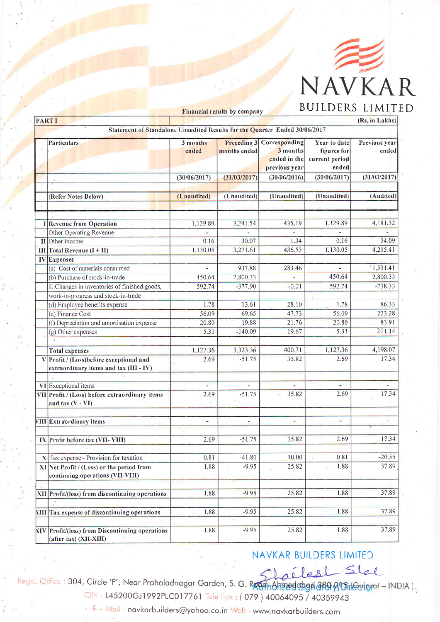

| <b>PARTI</b><br>Statement of Standalone Unaudited Results for the Quarter Ended 30/06/2017<br>3 months<br>Preceding 3 Corresponding<br><b>Year to date</b><br>Particulars<br>figures for<br>3 months<br>ended<br>months ended<br>ended in the<br>current period<br>ended<br>previous year<br>(30/06/2016)<br>(30/06/2017)<br>(30/06/2017)<br>(31/03/2017) | (Rs. in Lakhs)                                                                                    |                                                                                                                                                                                                                                                                                                                                                                                                                                                                                                                                                                                                                                                                                                                                                                                                                                                                                                                                                                                                                                                                                                                                                       |         |       |      |       |
|-----------------------------------------------------------------------------------------------------------------------------------------------------------------------------------------------------------------------------------------------------------------------------------------------------------------------------------------------------------|---------------------------------------------------------------------------------------------------|-------------------------------------------------------------------------------------------------------------------------------------------------------------------------------------------------------------------------------------------------------------------------------------------------------------------------------------------------------------------------------------------------------------------------------------------------------------------------------------------------------------------------------------------------------------------------------------------------------------------------------------------------------------------------------------------------------------------------------------------------------------------------------------------------------------------------------------------------------------------------------------------------------------------------------------------------------------------------------------------------------------------------------------------------------------------------------------------------------------------------------------------------------|---------|-------|------|-------|
|                                                                                                                                                                                                                                                                                                                                                           |                                                                                                   | DUILDERS LIMIT<br>Financial results by company<br>Previous year<br>ended<br>(31/03/2017)<br>(Unaudited)<br>(Unaudited)<br>(Audited)<br>(Unaudited)<br>(Unaudited)<br>1,129.89<br>1,129.89<br>435.19<br>4,181.32<br>3,241.54<br>34.09<br>0.16<br>0.16<br>30.07<br>1.34<br>1,130.05<br>4,215.41<br>1,130.05<br>3,271.61<br>436.53<br>1,531.41<br>937.88<br>283.46<br>$\overline{\phantom{a}}$<br>2,800.33<br>2,800.33<br>450.64<br>450.64<br>$-738.33$<br>$-377.90$<br>$-0.01$<br>592.74<br>592.74<br>86.33<br>1.78<br>1.78<br>13.61<br>28.10<br>56.09<br>223.28<br>69.65<br>47.73<br>56.09<br>83.91<br>19.88<br>21.76<br>20.80<br>20.80<br>211.14<br>19.67<br>5.31<br>5.31<br>$-140.09$<br>4,198.07<br>1,127.36<br>1,127.36<br>3,323.36<br>400.71<br>17.34<br>$-51.75$<br>35.82<br>2.69<br>2.69<br>÷,<br>¥.<br>٠<br>17.34<br>35.82<br>2.69<br>2.69<br>$-51.75$<br>$\sim$<br>$\overline{\phantom{a}}$<br>٠<br>$\sim$<br>2.69<br>17.34<br>2.69<br>51.75<br>35.82<br>$-20.55$<br>$-41.80$<br>10.00<br>0.81<br>0.81<br>37.89<br>$-9.95$<br>25.82<br>1.88<br>1.88<br>37.89<br>25.82<br>1.88<br>$-9.95$<br>1.88<br>1.88<br>37.89<br>25.82<br>1.88<br>$-9.95$ |         |       |      |       |
|                                                                                                                                                                                                                                                                                                                                                           |                                                                                                   |                                                                                                                                                                                                                                                                                                                                                                                                                                                                                                                                                                                                                                                                                                                                                                                                                                                                                                                                                                                                                                                                                                                                                       |         |       |      |       |
|                                                                                                                                                                                                                                                                                                                                                           |                                                                                                   |                                                                                                                                                                                                                                                                                                                                                                                                                                                                                                                                                                                                                                                                                                                                                                                                                                                                                                                                                                                                                                                                                                                                                       |         |       |      |       |
|                                                                                                                                                                                                                                                                                                                                                           |                                                                                                   |                                                                                                                                                                                                                                                                                                                                                                                                                                                                                                                                                                                                                                                                                                                                                                                                                                                                                                                                                                                                                                                                                                                                                       |         |       |      |       |
|                                                                                                                                                                                                                                                                                                                                                           | (Refer Notes Below)                                                                               |                                                                                                                                                                                                                                                                                                                                                                                                                                                                                                                                                                                                                                                                                                                                                                                                                                                                                                                                                                                                                                                                                                                                                       |         |       |      |       |
|                                                                                                                                                                                                                                                                                                                                                           |                                                                                                   |                                                                                                                                                                                                                                                                                                                                                                                                                                                                                                                                                                                                                                                                                                                                                                                                                                                                                                                                                                                                                                                                                                                                                       |         |       |      |       |
|                                                                                                                                                                                                                                                                                                                                                           |                                                                                                   |                                                                                                                                                                                                                                                                                                                                                                                                                                                                                                                                                                                                                                                                                                                                                                                                                                                                                                                                                                                                                                                                                                                                                       |         |       |      |       |
|                                                                                                                                                                                                                                                                                                                                                           | I Revenue from Operation                                                                          |                                                                                                                                                                                                                                                                                                                                                                                                                                                                                                                                                                                                                                                                                                                                                                                                                                                                                                                                                                                                                                                                                                                                                       |         |       |      |       |
|                                                                                                                                                                                                                                                                                                                                                           | Other Operating Revenue                                                                           |                                                                                                                                                                                                                                                                                                                                                                                                                                                                                                                                                                                                                                                                                                                                                                                                                                                                                                                                                                                                                                                                                                                                                       |         |       |      |       |
|                                                                                                                                                                                                                                                                                                                                                           | $\Pi$ Other income                                                                                |                                                                                                                                                                                                                                                                                                                                                                                                                                                                                                                                                                                                                                                                                                                                                                                                                                                                                                                                                                                                                                                                                                                                                       |         |       |      |       |
|                                                                                                                                                                                                                                                                                                                                                           | $III$ Total Revenue $(I + II)$                                                                    |                                                                                                                                                                                                                                                                                                                                                                                                                                                                                                                                                                                                                                                                                                                                                                                                                                                                                                                                                                                                                                                                                                                                                       |         |       |      |       |
|                                                                                                                                                                                                                                                                                                                                                           | <b>IV</b> Expenses                                                                                |                                                                                                                                                                                                                                                                                                                                                                                                                                                                                                                                                                                                                                                                                                                                                                                                                                                                                                                                                                                                                                                                                                                                                       |         |       |      |       |
|                                                                                                                                                                                                                                                                                                                                                           | (a) Cost of materials consumed                                                                    |                                                                                                                                                                                                                                                                                                                                                                                                                                                                                                                                                                                                                                                                                                                                                                                                                                                                                                                                                                                                                                                                                                                                                       |         |       |      |       |
|                                                                                                                                                                                                                                                                                                                                                           | (b) Purchase of stock-in-trade                                                                    |                                                                                                                                                                                                                                                                                                                                                                                                                                                                                                                                                                                                                                                                                                                                                                                                                                                                                                                                                                                                                                                                                                                                                       |         |       |      |       |
|                                                                                                                                                                                                                                                                                                                                                           | © Changes in inventories of finished goods,                                                       |                                                                                                                                                                                                                                                                                                                                                                                                                                                                                                                                                                                                                                                                                                                                                                                                                                                                                                                                                                                                                                                                                                                                                       |         |       |      |       |
|                                                                                                                                                                                                                                                                                                                                                           | work-in-progress and stock-in-trade                                                               |                                                                                                                                                                                                                                                                                                                                                                                                                                                                                                                                                                                                                                                                                                                                                                                                                                                                                                                                                                                                                                                                                                                                                       |         |       |      |       |
|                                                                                                                                                                                                                                                                                                                                                           | (d) Employee benefits expense                                                                     |                                                                                                                                                                                                                                                                                                                                                                                                                                                                                                                                                                                                                                                                                                                                                                                                                                                                                                                                                                                                                                                                                                                                                       |         |       |      |       |
|                                                                                                                                                                                                                                                                                                                                                           | (e) Finance Cost                                                                                  |                                                                                                                                                                                                                                                                                                                                                                                                                                                                                                                                                                                                                                                                                                                                                                                                                                                                                                                                                                                                                                                                                                                                                       |         |       |      |       |
|                                                                                                                                                                                                                                                                                                                                                           | (f) Depreciation and amortisation expense                                                         |                                                                                                                                                                                                                                                                                                                                                                                                                                                                                                                                                                                                                                                                                                                                                                                                                                                                                                                                                                                                                                                                                                                                                       |         |       |      |       |
|                                                                                                                                                                                                                                                                                                                                                           | (g) Other expenses                                                                                |                                                                                                                                                                                                                                                                                                                                                                                                                                                                                                                                                                                                                                                                                                                                                                                                                                                                                                                                                                                                                                                                                                                                                       |         |       |      |       |
|                                                                                                                                                                                                                                                                                                                                                           |                                                                                                   |                                                                                                                                                                                                                                                                                                                                                                                                                                                                                                                                                                                                                                                                                                                                                                                                                                                                                                                                                                                                                                                                                                                                                       |         |       |      |       |
|                                                                                                                                                                                                                                                                                                                                                           | <b>Total expenses</b>                                                                             |                                                                                                                                                                                                                                                                                                                                                                                                                                                                                                                                                                                                                                                                                                                                                                                                                                                                                                                                                                                                                                                                                                                                                       |         |       |      |       |
| $\mathbf{V}$                                                                                                                                                                                                                                                                                                                                              | Profit / (Loss)before exceptional and<br>extraordinary items and tax (III - IV)                   |                                                                                                                                                                                                                                                                                                                                                                                                                                                                                                                                                                                                                                                                                                                                                                                                                                                                                                                                                                                                                                                                                                                                                       |         |       |      |       |
|                                                                                                                                                                                                                                                                                                                                                           | VI Exceptional items                                                                              |                                                                                                                                                                                                                                                                                                                                                                                                                                                                                                                                                                                                                                                                                                                                                                                                                                                                                                                                                                                                                                                                                                                                                       |         |       |      |       |
|                                                                                                                                                                                                                                                                                                                                                           | VII Profit / (Loss) before extraordinary items<br>and $\text{tax}\left(\text{V}-\text{VI}\right)$ |                                                                                                                                                                                                                                                                                                                                                                                                                                                                                                                                                                                                                                                                                                                                                                                                                                                                                                                                                                                                                                                                                                                                                       |         |       |      |       |
|                                                                                                                                                                                                                                                                                                                                                           |                                                                                                   |                                                                                                                                                                                                                                                                                                                                                                                                                                                                                                                                                                                                                                                                                                                                                                                                                                                                                                                                                                                                                                                                                                                                                       |         |       |      |       |
|                                                                                                                                                                                                                                                                                                                                                           | VIII Extraordinary items                                                                          |                                                                                                                                                                                                                                                                                                                                                                                                                                                                                                                                                                                                                                                                                                                                                                                                                                                                                                                                                                                                                                                                                                                                                       |         |       |      |       |
|                                                                                                                                                                                                                                                                                                                                                           | IX Profit before tax (VII-VIII)                                                                   |                                                                                                                                                                                                                                                                                                                                                                                                                                                                                                                                                                                                                                                                                                                                                                                                                                                                                                                                                                                                                                                                                                                                                       |         |       |      |       |
|                                                                                                                                                                                                                                                                                                                                                           | $X$ Tax expense - Provision for taxation                                                          |                                                                                                                                                                                                                                                                                                                                                                                                                                                                                                                                                                                                                                                                                                                                                                                                                                                                                                                                                                                                                                                                                                                                                       |         |       |      |       |
|                                                                                                                                                                                                                                                                                                                                                           | XI Net Profit / (Loss) or the period from<br>continuing operations (VII-VIII)                     |                                                                                                                                                                                                                                                                                                                                                                                                                                                                                                                                                                                                                                                                                                                                                                                                                                                                                                                                                                                                                                                                                                                                                       |         |       |      |       |
|                                                                                                                                                                                                                                                                                                                                                           | XII Profit/(loss) from discontinuing operations                                                   |                                                                                                                                                                                                                                                                                                                                                                                                                                                                                                                                                                                                                                                                                                                                                                                                                                                                                                                                                                                                                                                                                                                                                       |         |       |      |       |
|                                                                                                                                                                                                                                                                                                                                                           | <b>XIII</b> Tax expense of discontinuing operations                                               |                                                                                                                                                                                                                                                                                                                                                                                                                                                                                                                                                                                                                                                                                                                                                                                                                                                                                                                                                                                                                                                                                                                                                       |         |       |      |       |
|                                                                                                                                                                                                                                                                                                                                                           | XIV Profit/(loss) from Discontinuing operations<br>(after tax) (XII-XIII)                         | 1.88                                                                                                                                                                                                                                                                                                                                                                                                                                                                                                                                                                                                                                                                                                                                                                                                                                                                                                                                                                                                                                                                                                                                                  | $-9.95$ | 25.82 | 1.88 | 37.89 |

## NAVKAR BUILDERS LIMITED

Regd. Office: 304, Circle 'P', Near Prahaladnagar Garden, S. G. Regd. Office: 304, Circle 'P', Near Prahaladnagar Garden, S. G. Regd. Afraed and a BOP/Gilgard - INDIA). CIN: L45200GJ1992PLC017761 Tele Fax: (079) 40064095 / 40359943

E - Mail : navkarbuilders@yahoo.co.in Web : www.navkarbuilders.com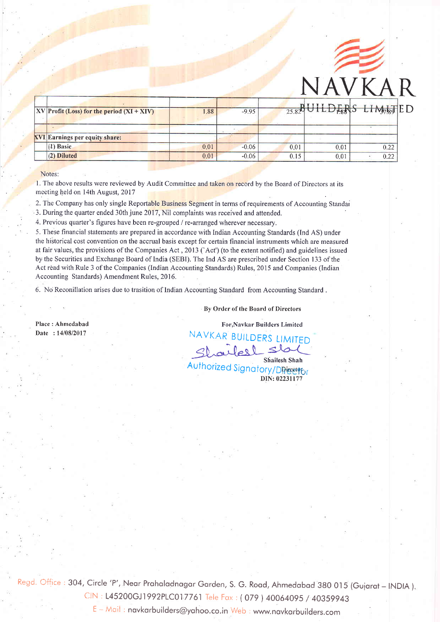

| $ XV $ Profit (Loss) for the period $(XI + XIV)$ | 1.88 | $-9.95$ |      |      | $\frac{1}{25.82}$ UHLDERS LIM <sub>78</sub> TED |
|--------------------------------------------------|------|---------|------|------|-------------------------------------------------|
| <b>XVI Earnings per equity share:</b>            |      |         |      |      |                                                 |
| $(1)$ Basic                                      | 0.01 | $-0.06$ | 0.01 | 0.01 | 0.22                                            |
| $(2)$ Diluted                                    | 0.01 | $-0.06$ | 0.15 | 0.01 | 0.22                                            |

Notes:

,

1. The above results were reviewed by Audit Committee and taken on record by the Board of Directors at its . meeting held on 14th August, 2017

2. The Company has only single Reportable Business Segment in terms of requirements of Accounting Standai

3. During the quarter ended 30th june 2017, Nil complaints was received and attended.

4. Previous quarter's figures have been re-grouped / re-arranged wherever necessary.

. 5. These financial statements are prepared in accordance with Indian Accounting Standards (Ind AS) under the historical cost convention on the accrual basis except for certain financial instruments which are measured at fair values, the provisions of the Companies Act, 2013 ('Act') (to the extent notified) and guidelines issued by the Securities and Exchange Board of India (SEBI). The Ind AS are prescribed under Section 133 of the Act read with Rule 3 of the Companies (Indian Accounting Standards) Rules, 2015 and Companies (Indian Accounting Standards) Amendment Rules, 2016.

6. No Reconillation arises due to trasition of Indian Accountins Standard from Accountine Standard .

## By Order of the Board of Directors

Place : Ahmedabad Date: 14/08/2017

For,Navkar Builders Limited

DIN:02231177 NAVKAR BUILDERS LIMITED Shailesh Shah<br>Authorized Signatory/DRicetor

Regd. Office: 304, Circle 'P', Near Prahaladnagar Garden, S. G. Road, Ahmedabad 380 015 (Gujarat - INDIA).

CIN: L45200GJ1992PLC017761 Tele Fax: (079) 40064095 / 40359943

E-Mail: navkarbuilders@yahoo.co.in Web: www.navkarbuilders.com